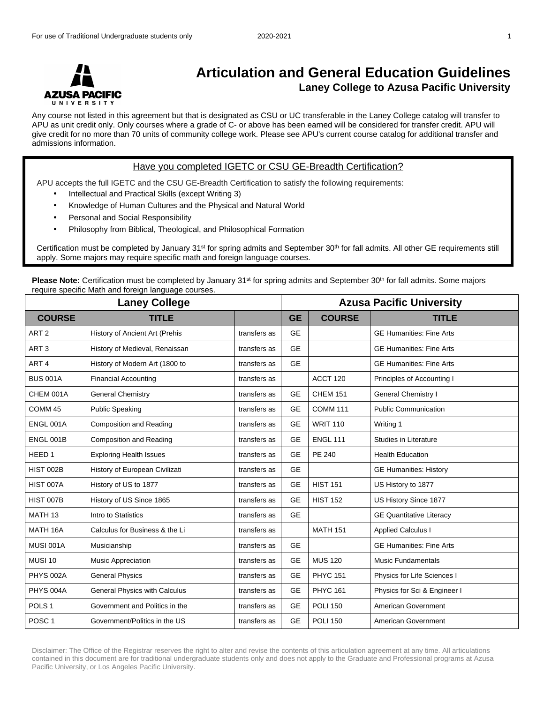

## **Articulation and General Education Guidelines Laney College to Azusa Pacific University**

Any course not listed in this agreement but that is designated as CSU or UC transferable in the Laney College catalog will transfer to APU as unit credit only. Only courses where a grade of C- or above has been earned will be considered for transfer credit. APU will give credit for no more than 70 units of community college work. Please see APU's current course catalog for additional transfer and admissions information.

## Have you completed IGETC or CSU GE-Breadth Certification?

APU accepts the full IGETC and the CSU GE-Breadth Certification to satisfy the following requirements:

- Intellectual and Practical Skills (except Writing 3)
- Knowledge of Human Cultures and the Physical and Natural World
- Personal and Social Responsibility
- Philosophy from Biblical, Theological, and Philosophical Formation

Certification must be completed by January 31st for spring admits and September 30th for fall admits. All other GE requirements still apply. Some majors may require specific math and foreign language courses.

**Please Note:** Certification must be completed by January 31<sup>st</sup> for spring admits and September 30<sup>th</sup> for fall admits. Some majors require specific Math and foreign language courses.

| <b>Laney College</b> |                                |              |           | <b>Azusa Pacific University</b> |                                 |  |
|----------------------|--------------------------------|--------------|-----------|---------------------------------|---------------------------------|--|
| <b>COURSE</b>        | TITLE                          |              | <b>GE</b> | <b>COURSE</b>                   | <b>TITLE</b>                    |  |
| ART <sub>2</sub>     | History of Ancient Art (Prehis | transfers as | <b>GE</b> |                                 | <b>GE Humanities: Fine Arts</b> |  |
| ART <sub>3</sub>     | History of Medieval, Renaissan | transfers as | <b>GE</b> |                                 | <b>GE Humanities: Fine Arts</b> |  |
| ART <sub>4</sub>     | History of Modern Art (1800 to | transfers as | <b>GE</b> |                                 | <b>GE Humanities: Fine Arts</b> |  |
| <b>BUS 001A</b>      | <b>Financial Accounting</b>    | transfers as |           | ACCT 120                        | Principles of Accounting I      |  |
| CHEM 001A            | <b>General Chemistry</b>       | transfers as | <b>GE</b> | <b>CHEM 151</b>                 | General Chemistry I             |  |
| COMM <sub>45</sub>   | <b>Public Speaking</b>         | transfers as | <b>GE</b> | <b>COMM 111</b>                 | <b>Public Communication</b>     |  |
| <b>ENGL 001A</b>     | <b>Composition and Reading</b> | transfers as | <b>GE</b> | <b>WRIT 110</b>                 | Writing 1                       |  |
| <b>ENGL 001B</b>     | <b>Composition and Reading</b> | transfers as | <b>GE</b> | <b>ENGL 111</b>                 | Studies in Literature           |  |
| HEED <sub>1</sub>    | <b>Exploring Health Issues</b> | transfers as | <b>GE</b> | PE 240                          | <b>Health Education</b>         |  |
| <b>HIST 002B</b>     | History of European Civilizati | transfers as | <b>GE</b> |                                 | <b>GE Humanities: History</b>   |  |
| HIST 007A            | History of US to 1877          | transfers as | <b>GE</b> | <b>HIST 151</b>                 | US History to 1877              |  |
| <b>HIST 007B</b>     | History of US Since 1865       | transfers as | <b>GE</b> | <b>HIST 152</b>                 | US History Since 1877           |  |
| MATH <sub>13</sub>   | Intro to Statistics            | transfers as | <b>GE</b> |                                 | <b>GE Quantitative Literacy</b> |  |
| MATH 16A             | Calculus for Business & the Li | transfers as |           | <b>MATH 151</b>                 | <b>Applied Calculus I</b>       |  |
| <b>MUSI 001A</b>     | Musicianship                   | transfers as | <b>GE</b> |                                 | <b>GE Humanities: Fine Arts</b> |  |
| <b>MUSI 10</b>       | Music Appreciation             | transfers as | <b>GE</b> | <b>MUS 120</b>                  | <b>Music Fundamentals</b>       |  |
| <b>PHYS 002A</b>     | <b>General Physics</b>         | transfers as | <b>GE</b> | <b>PHYC 151</b>                 | Physics for Life Sciences I     |  |
| PHYS 004A            | General Physics with Calculus  | transfers as | <b>GE</b> | <b>PHYC 161</b>                 | Physics for Sci & Engineer I    |  |
| POLS <sub>1</sub>    | Government and Politics in the | transfers as | <b>GE</b> | <b>POLI 150</b>                 | American Government             |  |
| POSC <sub>1</sub>    | Government/Politics in the US  | transfers as | <b>GE</b> | <b>POLI 150</b>                 | American Government             |  |

Disclaimer: The Office of the Registrar reserves the right to alter and revise the contents of this articulation agreement at any time. All articulations contained in this document are for traditional undergraduate students only and does not apply to the Graduate and Professional programs at Azusa Pacific University, or Los Angeles Pacific University.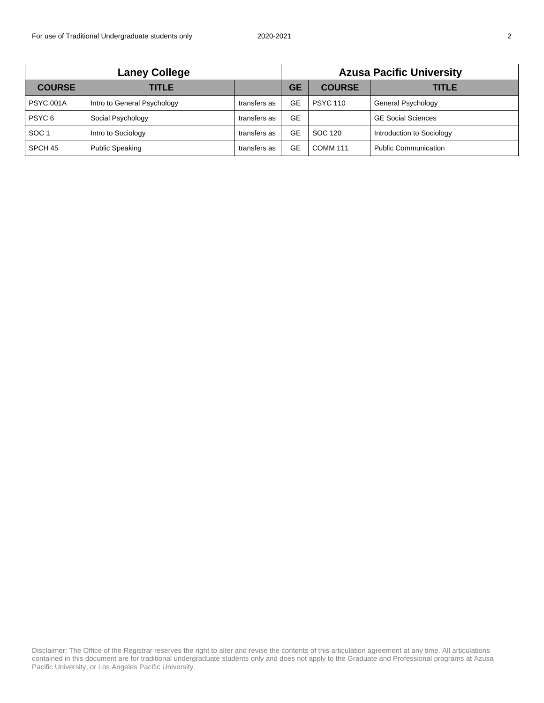| <b>Laney College</b> |                             |              | <b>Azusa Pacific University</b> |                 |                             |
|----------------------|-----------------------------|--------------|---------------------------------|-----------------|-----------------------------|
| <b>COURSE</b>        | TITLE I                     |              | <b>GE</b>                       | <b>COURSE</b>   | TITLE                       |
| <b>PSYC 001A</b>     | Intro to General Psychology | transfers as | GE                              | <b>PSYC 110</b> | <b>General Psychology</b>   |
| PSYC <sub>6</sub>    | Social Psychology           | transfers as | GЕ                              |                 | <b>GE Social Sciences</b>   |
| SOC <sub>1</sub>     | Intro to Sociology          | transfers as | GE                              | SOC 120         | Introduction to Sociology   |
| SPCH 45              | <b>Public Speaking</b>      | transfers as | GE                              | <b>COMM 111</b> | <b>Public Communication</b> |

Disclaimer: The Office of the Registrar reserves the right to alter and revise the contents of this articulation agreement at any time. All articulations contained in this document are for traditional undergraduate students only and does not apply to the Graduate and Professional programs at Azusa Pacific University, or Los Angeles Pacific University.